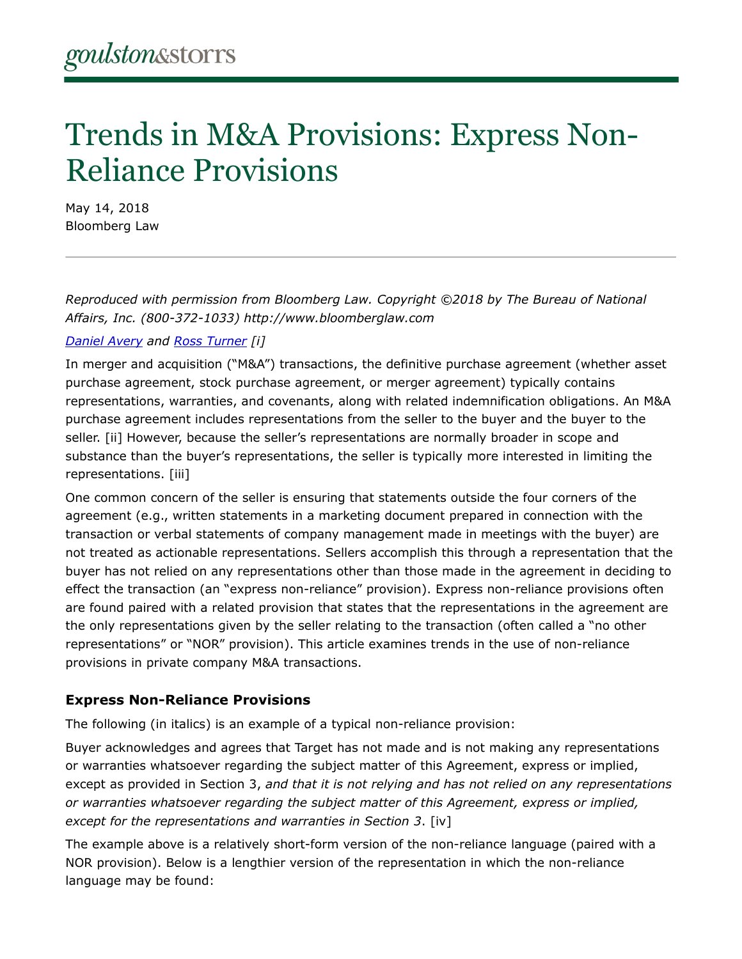# Trends in M&A Provisions: Express Non-Reliance Provisions

May 14, 2018 Bloomberg Law

*Reproduced with permission from Bloomberg Law. Copyright ©2018 by The Bureau of National Affairs, Inc. (800-372-1033) http://www.bloomberglaw.com*

#### *[Daniel Avery](https://www.goulstonstorrs.com/daniel-r-avery/) and [Ross Turner](https://www.goulstonstorrs.com/ross-l-turner/) [i]*

In merger and acquisition ("M&A") transactions, the definitive purchase agreement (whether asset purchase agreement, stock purchase agreement, or merger agreement) typically contains representations, warranties, and covenants, along with related indemnification obligations. An M&A purchase agreement includes representations from the seller to the buyer and the buyer to the seller. [ii] However, because the seller's representations are normally broader in scope and substance than the buyer's representations, the seller is typically more interested in limiting the representations. [iii]

One common concern of the seller is ensuring that statements outside the four corners of the agreement (e.g., written statements in a marketing document prepared in connection with the transaction or verbal statements of company management made in meetings with the buyer) are not treated as actionable representations. Sellers accomplish this through a representation that the buyer has not relied on any representations other than those made in the agreement in deciding to effect the transaction (an "express non-reliance" provision). Express non-reliance provisions often are found paired with a related provision that states that the representations in the agreement are the only representations given by the seller relating to the transaction (often called a "no other representations" or "NOR" provision). This article examines trends in the use of non-reliance provisions in private company M&A transactions.

#### **Express Non-Reliance Provisions**

The following (in italics) is an example of a typical non-reliance provision:

Buyer acknowledges and agrees that Target has not made and is not making any representations or warranties whatsoever regarding the subject matter of this Agreement, express or implied, except as provided in Section 3, *and that it is not relying and has not relied on any representations or warranties whatsoever regarding the subject matter of this Agreement, express or implied, except for the representations and warranties in Section 3*. [iv]

The example above is a relatively short-form version of the non-reliance language (paired with a NOR provision). Below is a lengthier version of the representation in which the non-reliance language may be found: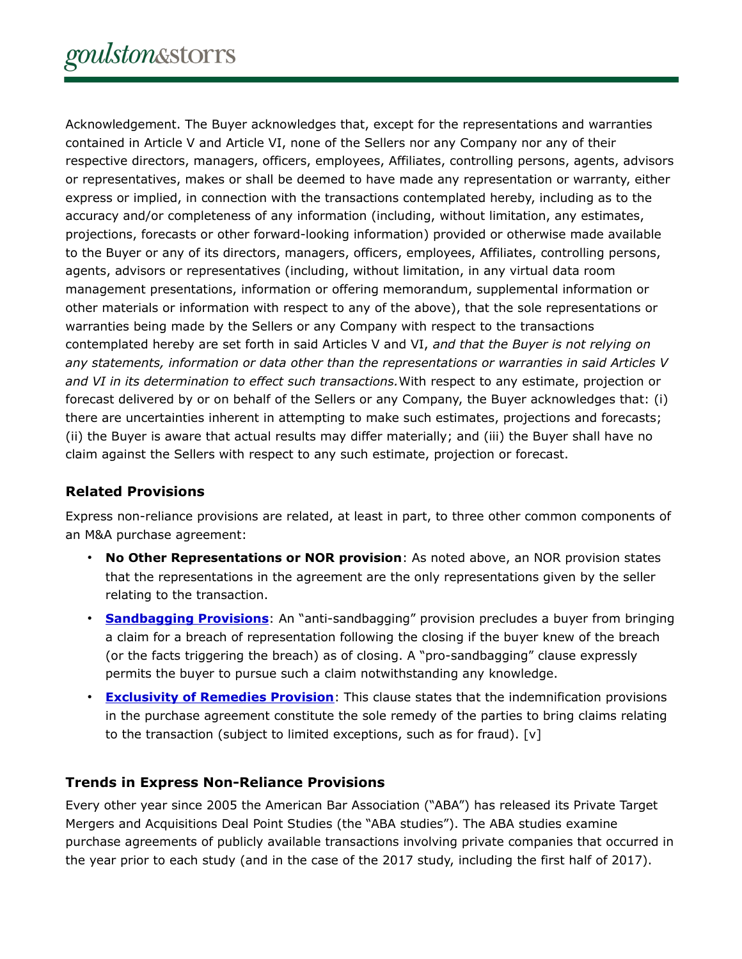Acknowledgement. The Buyer acknowledges that, except for the representations and warranties contained in Article V and Article VI, none of the Sellers nor any Company nor any of their respective directors, managers, officers, employees, Affiliates, controlling persons, agents, advisors or representatives, makes or shall be deemed to have made any representation or warranty, either express or implied, in connection with the transactions contemplated hereby, including as to the accuracy and/or completeness of any information (including, without limitation, any estimates, projections, forecasts or other forward-looking information) provided or otherwise made available to the Buyer or any of its directors, managers, officers, employees, Affiliates, controlling persons, agents, advisors or representatives (including, without limitation, in any virtual data room management presentations, information or offering memorandum, supplemental information or other materials or information with respect to any of the above), that the sole representations or warranties being made by the Sellers or any Company with respect to the transactions contemplated hereby are set forth in said Articles V and VI, *and that the Buyer is not relying on any statements, information or data other than the representations or warranties in said Articles V and VI in its determination to effect such transactions.*With respect to any estimate, projection or forecast delivered by or on behalf of the Sellers or any Company, the Buyer acknowledges that: (i) there are uncertainties inherent in attempting to make such estimates, projections and forecasts; (ii) the Buyer is aware that actual results may differ materially; and (iii) the Buyer shall have no claim against the Sellers with respect to any such estimate, projection or forecast.

## **Related Provisions**

Express non-reliance provisions are related, at least in part, to three other common components of an M&A purchase agreement:

- **No Other Representations or NOR provision**: As noted above, an NOR provision states that the representations in the agreement are the only representations given by the seller relating to the transaction.
- **[Sandbagging Provisions](https://www.bloomberglaw.com/product/securities/document/XBBHJ1TS000000)**: An "anti-sandbagging" provision precludes a buyer from bringing a claim for a breach of representation following the closing if the buyer knew of the breach (or the facts triggering the breach) as of closing. A "pro-sandbagging" clause expressly permits the buyer to pursue such a claim notwithstanding any knowledge.
- **[Exclusivity of Remedies Provision](https://www.bloomberglaw.com/product/blaw/document/XCIFBC8S000000)**: This clause states that the indemnification provisions in the purchase agreement constitute the sole remedy of the parties to bring claims relating to the transaction (subject to limited exceptions, such as for fraud). [v]

## **Trends in Express Non-Reliance Provisions**

Every other year since 2005 the American Bar Association ("ABA") has released its Private Target Mergers and Acquisitions Deal Point Studies (the "ABA studies"). The ABA studies examine purchase agreements of publicly available transactions involving private companies that occurred in the year prior to each study (and in the case of the 2017 study, including the first half of 2017).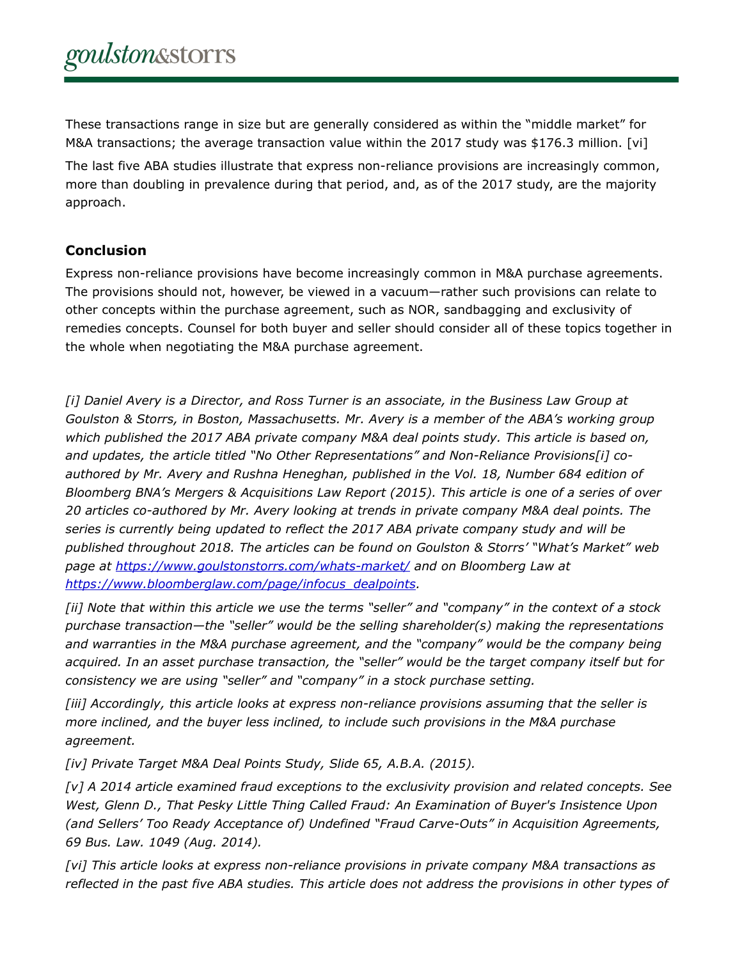These transactions range in size but are generally considered as within the "middle market" for M&A transactions; the average transaction value within the 2017 study was \$176.3 million. [vi] The last five ABA studies illustrate that express non-reliance provisions are increasingly common, more than doubling in prevalence during that period, and, as of the 2017 study, are the majority approach.

## **Conclusion**

Express non-reliance provisions have become increasingly common in M&A purchase agreements. The provisions should not, however, be viewed in a vacuum—rather such provisions can relate to other concepts within the purchase agreement, such as NOR, sandbagging and exclusivity of remedies concepts. Counsel for both buyer and seller should consider all of these topics together in the whole when negotiating the M&A purchase agreement.

*[i] Daniel Avery is a Director, and Ross Turner is an associate, in the Business Law Group at Goulston & Storrs, in Boston, Massachusetts. Mr. Avery is a member of the ABA's working group which published the 2017 ABA private company M&A deal points study. This article is based on, and updates, the article titled "No Other Representations" and Non-Reliance Provisions[i] coauthored by Mr. Avery and Rushna Heneghan, published in the Vol. 18, Number 684 edition of Bloomberg BNA's Mergers & Acquisitions Law Report (2015). This article is one of a series of over 20 articles co-authored by Mr. Avery looking at trends in private company M&A deal points. The series is currently being updated to reflect the 2017 ABA private company study and will be published throughout 2018. The articles can be found on Goulston & Storrs' "What's Market" web page at<https://www.goulstonstorrs.com/whats-market/>and on Bloomberg Law at [https://www.bloomberglaw.com/page/infocus\\_dealpoints.](https://www.bloomberglaw.com/page/infocus_dealpoints)*

*[ii] Note that within this article we use the terms "seller" and "company" in the context of a stock purchase transaction—the "seller" would be the selling shareholder(s) making the representations and warranties in the M&A purchase agreement, and the "company" would be the company being acquired. In an asset purchase transaction, the "seller" would be the target company itself but for consistency we are using "seller" and "company" in a stock purchase setting.*

*[iii] Accordingly, this article looks at express non-reliance provisions assuming that the seller is more inclined, and the buyer less inclined, to include such provisions in the M&A purchase agreement.*

*[iv] Private Target M&A Deal Points Study, Slide 65, A.B.A. (2015).*

*[v] A 2014 article examined fraud exceptions to the exclusivity provision and related concepts. See West, Glenn D., That Pesky Little Thing Called Fraud: An Examination of Buyer's Insistence Upon (and Sellers' Too Ready Acceptance of) Undefined "Fraud Carve-Outs" in Acquisition Agreements, 69 Bus. Law. 1049 (Aug. 2014).*

*[vi] This article looks at express non-reliance provisions in private company M&A transactions as reflected in the past five ABA studies. This article does not address the provisions in other types of*